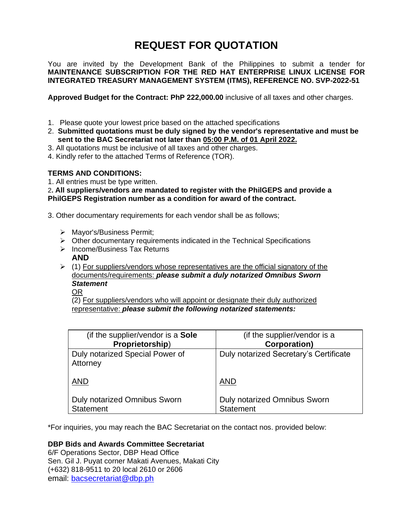# **REQUEST FOR QUOTATION**

You are invited by the Development Bank of the Philippines to submit a tender for **MAINTENANCE SUBSCRIPTION FOR THE RED HAT ENTERPRISE LINUX LICENSE FOR INTEGRATED TREASURY MANAGEMENT SYSTEM (ITMS), REFERENCE NO. SVP-2022-51**

**Approved Budget for the Contract: PhP 222,000.00** inclusive of all taxes and other charges.

- 1. Please quote your lowest price based on the attached specifications
- 2. **Submitted quotations must be duly signed by the vendor's representative and must be sent to the BAC Secretariat not later than 05:00 P.M. of 01 April 2022.**
- 3. All quotations must be inclusive of all taxes and other charges.
- 4. Kindly refer to the attached Terms of Reference (TOR).

## **TERMS AND CONDITIONS:**

1. All entries must be type written.

2**. All suppliers/vendors are mandated to register with the PhilGEPS and provide a PhilGEPS Registration number as a condition for award of the contract.**

3. Other documentary requirements for each vendor shall be as follows;

- ➢ Mayor's/Business Permit;
- $\triangleright$  Other documentary requirements indicated in the Technical Specifications
- ➢ Income/Business Tax Returns
	- **AND**
- $\triangleright$  (1) For suppliers/vendors whose representatives are the official signatory of the documents/requirements: *please submit a duly notarized Omnibus Sworn Statement*
	- OR

(2) For suppliers/vendors who will appoint or designate their duly authorized representative: *please submit the following notarized statements:*

| (if the supplier/vendor is a Sole                | (if the supplier/vendor is a                            |
|--------------------------------------------------|---------------------------------------------------------|
| Proprietorship)                                  | <b>Corporation</b> )                                    |
| Duly notarized Special Power of<br>Attorney      | Duly notarized Secretary's Certificate                  |
| <b>AND</b>                                       | <b>AND</b>                                              |
| Duly notarized Omnibus Sworn<br><b>Statement</b> | <b>Duly notarized Omnibus Sworn</b><br><b>Statement</b> |

\*For inquiries, you may reach the BAC Secretariat on the contact nos. provided below:

## **DBP Bids and Awards Committee Secretariat**

6/F Operations Sector, DBP Head Office Sen. Gil J. Puyat corner Makati Avenues, Makati City (+632) 818-9511 to 20 local 2610 or 2606 email: [bacsecretariat@dbp.ph](mailto:bacsecretariat@dbp.ph)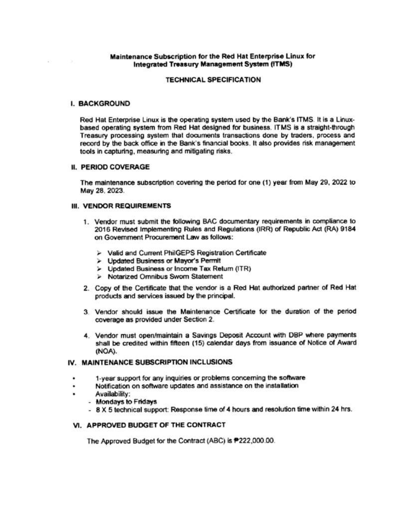## Maintenance Subscription for the Red Hat Enterprise Linux for **Integrated Treasury Management System (ITMS)**

## **TECHNICAL SPECIFICATION**

## **I. BACKGROUND**

Red Hat Enterprise Linux is the operating system used by the Bank's ITMS. It is a Linuxbased operating system from Red Hat designed for business. ITMS is a straight-through Treasury processing system that documents transactions done by traders, process and record by the back office in the Bank's financial books. It also provides risk management tools in capturing, measuring and mitigating risks.

## **IL PERIOD COVERAGE**

The maintenance subscription covering the period for one (1) year from May 29, 2022 to May 28, 2023.

## **III. VENDOR REQUIREMENTS**

- 1. Vendor must submit the following BAC documentary requirements in compliance to 2016 Revised Implementing Rules and Regulations (IRR) of Republic Act (RA) 9184 on Government Procurement Law as follows:
	- > Valid and Current PhilGEPS Registration Certificate
	- > Updated Business or Mayor's Permit
	- > Updated Business or Income Tax Return (ITR)
	- > Notarized Omnibus Sworn Statement
- 2. Copy of the Certificate that the vendor is a Red Hat authorized partner of Red Hat products and services issued by the principal.
- 3. Vendor should issue the Maintenance Certificate for the duration of the period coverage as provided under Section 2.
- 4. Vendor must open/maintain a Savings Deposit Account with DBP where payments shall be credited within fifteen (15) calendar days from issuance of Notice of Award (NOA).

## IV. MAINTENANCE SUBSCRIPTION INCLUSIONS

- 1-year support for any inquiries or problems concerning the software
- Notification on software updates and assistance on the installation ۰
- Availability:
	- Mondays to Fridays
	- 8 X 5 technical support: Response time of 4 hours and resolution time within 24 hrs.

## VI. APPROVED BUDGET OF THE CONTRACT

The Approved Budget for the Contract (ABC) is P222,000.00.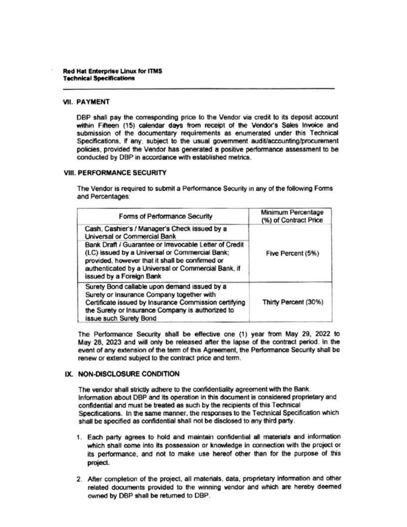#### **VII. PAYMENT**

DBP shall pay the corresponding price to the Vendor via credit to its deposit account within Fifteen (15) calendar days from receipt of the Vendor's Sales Invoice and submission of the documentary requirements as enumerated under this Technical Specifications, if any, subject to the usual government audit/accounting/procurement policies, provided the Vendor has generated a positive performance assessment to be conducted by DBP in accordance with established metrics.

#### **VIII. PERFORMANCE SECURITY**

The Vendor is required to submit a Performance Security in any of the following Forms and Percentages:

| Forms of Performance Security                                                                                                                                                                                                                  | Minimum Percentage<br>(%) of Contract Price |
|------------------------------------------------------------------------------------------------------------------------------------------------------------------------------------------------------------------------------------------------|---------------------------------------------|
| Cash, Cashier's / Manager's Check issued by a<br>Universal or Commercial Bank                                                                                                                                                                  |                                             |
| Bank Draft / Guarantee or Irrevocable Letter of Credit<br>(LC) issued by a Universal or Commercial Bank;<br>provided, however that it shall be confirmed or<br>authenticated by a Universal or Commercial Bank, if<br>issued by a Foreign Bank | Five Percent (5%)                           |
| Surety Bond callable upon demand issued by a<br>Surety or Insurance Company together with<br>Certificate issued by Insurance Commission certifying<br>the Surety or Insurance Company is authorized to<br>issue such Surety Bond               | Thirty Percent (30%)                        |

The Performance Security shall be effective one (1) year from May 29, 2022 to May 28, 2023 and will only be released after the lapse of the contract period. In the event of any extension of the term of this Agreement, the Performance Security shall be renew or extend subject to the contract price and term.

## IX. NON-DISCLOSURE CONDITION

The vendor shall strictly adhere to the confidentiality agreement with the Bank. Information about DBP and its operation in this document is considered proprietary and confidential and must be treated as such by the recipients of this Technical Specifications. In the same manner, the responses to the Technical Specification which shall be specified as confidential shall not be disclosed to any third party.

- 1. Each party agrees to hold and maintain confidential all materials and information which shall come into its possession or knowledge in connection with the project or its performance, and not to make use hereof other than for the purpose of this project.
- 2. After completion of the project, all materials, data, proprietary information and other related documents provided to the winning vendor and which are hereby deemed owned by DBP shall be returned to DBP.